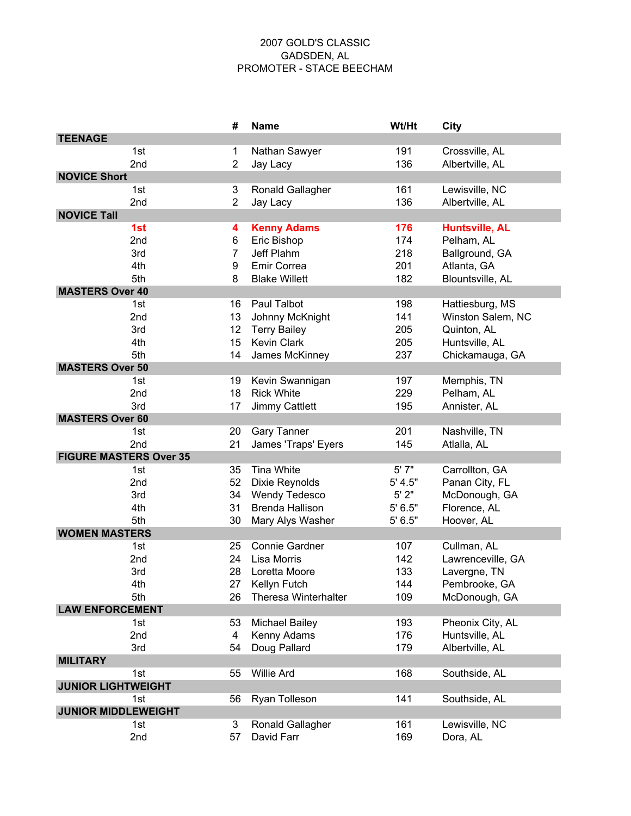## 2007 GOLD'S CLASSIC GADSDEN, AL PROMOTER - STACE BEECHAM

|                               | #              | <b>Name</b>                 | Wt/Ht   | City                  |
|-------------------------------|----------------|-----------------------------|---------|-----------------------|
| <b>TEENAGE</b>                |                |                             |         |                       |
| 1st                           | 1              | Nathan Sawyer               | 191     | Crossville, AL        |
| 2nd                           | $\overline{2}$ | Jay Lacy                    | 136     | Albertville, AL       |
| <b>NOVICE Short</b>           |                |                             |         |                       |
| 1st                           | 3              | Ronald Gallagher            | 161     | Lewisville, NC        |
| 2nd                           | $\overline{2}$ | Jay Lacy                    | 136     | Albertville, AL       |
| <b>NOVICE Tall</b>            |                |                             |         |                       |
| 1st                           | 4              | <b>Kenny Adams</b>          | 176     | <b>Huntsville, AL</b> |
| 2nd                           | 6              | Eric Bishop                 | 174     | Pelham, AL            |
| 3rd                           | $\overline{7}$ | Jeff Plahm                  | 218     | Ballground, GA        |
| 4th                           | 9              | Emir Correa                 | 201     | Atlanta, GA           |
| 5th                           | 8              | <b>Blake Willett</b>        | 182     | Blountsville, AL      |
| <b>MASTERS Over 40</b>        |                |                             |         |                       |
| 1st                           | 16             | Paul Talbot                 | 198     | Hattiesburg, MS       |
| 2nd                           | 13             | Johnny McKnight             | 141     | Winston Salem, NC     |
| 3rd                           | 12             | <b>Terry Bailey</b>         | 205     | Quinton, AL           |
| 4th                           | 15             | <b>Kevin Clark</b>          | 205     | Huntsville, AL        |
| 5th                           | 14             | James McKinney              | 237     | Chickamauga, GA       |
| <b>MASTERS Over 50</b>        |                |                             |         |                       |
| 1st                           | 19             | Kevin Swannigan             | 197     | Memphis, TN           |
| 2nd                           | 18             | <b>Rick White</b>           | 229     | Pelham, AL            |
| 3rd                           | 17             | Jimmy Cattlett              | 195     | Annister, AL          |
| <b>MASTERS Over 60</b>        |                |                             |         |                       |
| 1st                           | 20             | <b>Gary Tanner</b>          | 201     | Nashville, TN         |
| 2nd                           | 21             | James 'Traps' Eyers         | 145     | Atlalla, AL           |
| <b>FIGURE MASTERS Over 35</b> |                |                             |         |                       |
| 1st                           | 35             | <b>Tina White</b>           | 5' 7"   | Carrollton, GA        |
| 2nd                           | 52             | Dixie Reynolds              | 5' 4.5" | Panan City, FL        |
| 3rd                           | 34             | <b>Wendy Tedesco</b>        | 5'2"    | McDonough, GA         |
| 4th                           | 31             | <b>Brenda Hallison</b>      | 5' 6.5" | Florence, AL          |
| 5th                           | 30             | Mary Alys Washer            | 5'6.5"  | Hoover, AL            |
| <b>WOMEN MASTERS</b>          |                |                             |         |                       |
| 1st                           | 25             | Connie Gardner              | 107     | Cullman, AL           |
| 2nd                           | 24             | Lisa Morris                 | 142     | Lawrenceville, GA     |
| 3rd                           | 28             | Loretta Moore               | 133     | Lavergne, TN          |
| 4th                           | 27             | Kellyn Futch                | 144     | Pembrooke, GA         |
| 5th                           | 26             | <b>Theresa Winterhalter</b> | 109     | McDonough, GA         |
| <b>LAW ENFORCEMENT</b>        |                |                             |         |                       |
| 1st                           | 53             | <b>Michael Bailey</b>       | 193     | Pheonix City, AL      |
| 2nd                           | 4              | Kenny Adams                 | 176     | Huntsville, AL        |
| 3rd                           | 54             | Doug Pallard                | 179     | Albertville, AL       |
| <b>MILITARY</b>               |                |                             |         |                       |
| 1st                           | 55             | <b>Willie Ard</b>           | 168     | Southside, AL         |
| <b>JUNIOR LIGHTWEIGHT</b>     |                |                             |         |                       |
| 1st                           | 56             | Ryan Tolleson               | 141     | Southside, AL         |
| <b>JUNIOR MIDDLEWEIGHT</b>    |                |                             |         |                       |
| 1st                           | 3              | Ronald Gallagher            | 161     | Lewisville, NC        |
| 2nd                           | 57             | David Farr                  | 169     | Dora, AL              |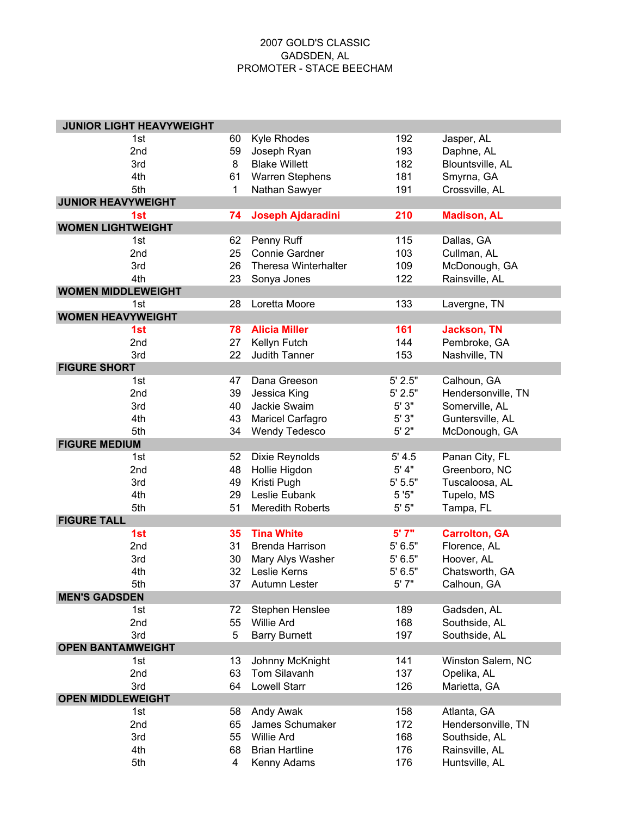## 2007 GOLD'S CLASSIC GADSDEN, AL PROMOTER - STACE BEECHAM

| <b>JUNIOR LIGHT HEAVYWEIGHT</b> |    |                              |           |                                 |
|---------------------------------|----|------------------------------|-----------|---------------------------------|
| 1st                             | 60 | <b>Kyle Rhodes</b>           | 192       | Jasper, AL                      |
| 2nd                             | 59 | Joseph Ryan                  | 193       | Daphne, AL                      |
| 3rd                             | 8  | <b>Blake Willett</b>         | 182       | Blountsville, AL                |
| 4th                             | 61 | <b>Warren Stephens</b>       | 181       | Smyrna, GA                      |
| 5th                             | 1  | Nathan Sawyer                | 191       | Crossville, AL                  |
| <b>JUNIOR HEAVYWEIGHT</b>       |    |                              |           |                                 |
| 1st                             | 74 | Joseph Ajdaradini            | 210       | <b>Madison, AL</b>              |
| <b>WOMEN LIGHTWEIGHT</b>        |    |                              |           |                                 |
| 1st                             | 62 | Penny Ruff                   | 115       | Dallas, GA                      |
| 2nd                             | 25 | <b>Connie Gardner</b>        | 103       | Cullman, AL                     |
| 3rd                             | 26 | <b>Theresa Winterhalter</b>  | 109       | McDonough, GA                   |
| 4th                             | 23 | Sonya Jones                  | 122       | Rainsville, AL                  |
| <b>WOMEN MIDDLEWEIGHT</b>       |    |                              |           |                                 |
| 1st                             | 28 | Loretta Moore                | 133       | Lavergne, TN                    |
| <b>WOMEN HEAVYWEIGHT</b>        |    |                              |           |                                 |
| 1st                             | 78 | <b>Alicia Miller</b>         | 161       | <b>Jackson, TN</b>              |
| 2nd                             | 27 | Kellyn Futch                 | 144       | Pembroke, GA                    |
| 3rd                             | 22 | Judith Tanner                | 153       | Nashville, TN                   |
| <b>FIGURE SHORT</b>             |    |                              |           |                                 |
| 1st                             | 47 | Dana Greeson                 | 5' 2.5"   | Calhoun, GA                     |
| 2nd                             | 39 | Jessica King                 | 5' 2.5"   | Hendersonville, TN              |
| 3rd                             | 40 | Jackie Swaim                 | 5'3"      | Somerville, AL                  |
| 4th                             | 43 | Maricel Carfagro             | 5' 3"     | Guntersville, AL                |
| 5th                             | 34 |                              | 5'2"      |                                 |
| <b>FIGURE MEDIUM</b>            |    | <b>Wendy Tedesco</b>         |           | McDonough, GA                   |
|                                 | 52 |                              | 5' 4.5    |                                 |
| 1st<br>2nd                      | 48 | Dixie Reynolds               | $5'$ 4"   | Panan City, FL<br>Greenboro, NC |
| 3rd                             | 49 | Hollie Higdon<br>Kristi Pugh | 5' 5.5"   | Tuscaloosa, AL                  |
| 4th                             |    | Leslie Eubank                | 5'5"      |                                 |
|                                 | 29 |                              | $5'$ $5"$ | Tupelo, MS                      |
| 5th<br><b>FIGURE TALL</b>       | 51 | <b>Meredith Roberts</b>      |           | Tampa, FL                       |
| 1st                             | 35 | <b>Tina White</b>            | 5' 7"     |                                 |
|                                 |    |                              |           | <b>Carrolton, GA</b>            |
| 2nd                             | 31 | <b>Brenda Harrison</b>       | 5'6.5"    | Florence, AL                    |
| 3rd                             | 30 | Mary Alys Washer             | 5' 6.5"   | Hoover, AL                      |
| 4th                             | 32 | Leslie Kerns                 | 5' 6.5"   | Chatsworth, GA                  |
| 5th                             | 37 | Autumn Lester                | 5' 7"     | Calhoun, GA                     |
| <b>MEN'S GADSDEN</b>            |    |                              |           |                                 |
| 1st                             | 72 | Stephen Henslee              | 189       | Gadsden, AL                     |
| 2nd                             | 55 | <b>Willie Ard</b>            | 168       | Southside, AL                   |
| 3rd                             | 5  | <b>Barry Burnett</b>         | 197       | Southside, AL                   |
| <b>OPEN BANTAMWEIGHT</b>        |    |                              |           |                                 |
| 1st                             | 13 | Johnny McKnight              | 141       | Winston Salem, NC               |
| 2nd                             | 63 | Tom Silavanh                 | 137       | Opelika, AL                     |
| 3rd                             | 64 | <b>Lowell Starr</b>          | 126       | Marietta, GA                    |
| <b>OPEN MIDDLEWEIGHT</b>        |    |                              |           |                                 |
| 1st                             | 58 | Andy Awak                    | 158       | Atlanta, GA                     |
| 2nd                             | 65 | James Schumaker              | 172       | Hendersonville, TN              |
| 3rd                             | 55 | <b>Willie Ard</b>            | 168       | Southside, AL                   |
| 4th                             | 68 | <b>Brian Hartline</b>        | 176       | Rainsville, AL                  |
| 5th                             | 4  | Kenny Adams                  | 176       | Huntsville, AL                  |